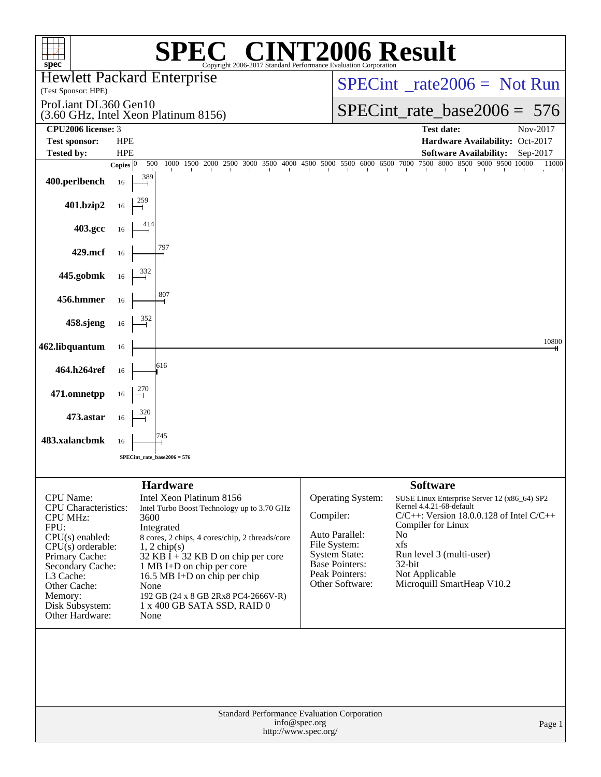| $spec^*$                                                                                                                                                                                                                            | $\blacksquare$<br>Copyright 2006-2017 Standard Performance Evaluation Corporation                                                                                                                                                                                                                                                                                               | <b>72006 Result</b>                                                                                                                                           |                                                                                                                                                                                                                                                                          |  |  |  |  |
|-------------------------------------------------------------------------------------------------------------------------------------------------------------------------------------------------------------------------------------|---------------------------------------------------------------------------------------------------------------------------------------------------------------------------------------------------------------------------------------------------------------------------------------------------------------------------------------------------------------------------------|---------------------------------------------------------------------------------------------------------------------------------------------------------------|--------------------------------------------------------------------------------------------------------------------------------------------------------------------------------------------------------------------------------------------------------------------------|--|--|--|--|
| (Test Sponsor: HPE)                                                                                                                                                                                                                 | <b>Hewlett Packard Enterprise</b>                                                                                                                                                                                                                                                                                                                                               |                                                                                                                                                               | $SPECint^{\circ}$ rate $2006 =$ Not Run                                                                                                                                                                                                                                  |  |  |  |  |
| ProLiant DL360 Gen10                                                                                                                                                                                                                | (3.60 GHz, Intel Xeon Platinum 8156)                                                                                                                                                                                                                                                                                                                                            |                                                                                                                                                               | SPECint rate base $2006 = 576$                                                                                                                                                                                                                                           |  |  |  |  |
| CPU2006 license: 3                                                                                                                                                                                                                  |                                                                                                                                                                                                                                                                                                                                                                                 |                                                                                                                                                               | <b>Test date:</b><br>Nov-2017                                                                                                                                                                                                                                            |  |  |  |  |
| <b>Test sponsor:</b><br><b>Tested by:</b>                                                                                                                                                                                           | <b>HPE</b><br><b>HPE</b>                                                                                                                                                                                                                                                                                                                                                        |                                                                                                                                                               | Hardware Availability: Oct-2017<br><b>Software Availability:</b><br>Sep-2017                                                                                                                                                                                             |  |  |  |  |
|                                                                                                                                                                                                                                     | 500<br>Copies $ 0\rangle$                                                                                                                                                                                                                                                                                                                                                       |                                                                                                                                                               | 1000 1500 2000 2500 3000 3500 4000 4500 5000 5500 6000 6500 7000 7500 8000 8500 9000 9500 10000<br>11000                                                                                                                                                                 |  |  |  |  |
| 400.perlbench                                                                                                                                                                                                                       | 389<br>16                                                                                                                                                                                                                                                                                                                                                                       |                                                                                                                                                               |                                                                                                                                                                                                                                                                          |  |  |  |  |
| 401.bzip2                                                                                                                                                                                                                           | 16                                                                                                                                                                                                                                                                                                                                                                              |                                                                                                                                                               |                                                                                                                                                                                                                                                                          |  |  |  |  |
| 403.gcc                                                                                                                                                                                                                             | 16                                                                                                                                                                                                                                                                                                                                                                              |                                                                                                                                                               |                                                                                                                                                                                                                                                                          |  |  |  |  |
| 429.mcf                                                                                                                                                                                                                             | 16                                                                                                                                                                                                                                                                                                                                                                              |                                                                                                                                                               |                                                                                                                                                                                                                                                                          |  |  |  |  |
| 445.gobmk                                                                                                                                                                                                                           | 16                                                                                                                                                                                                                                                                                                                                                                              |                                                                                                                                                               |                                                                                                                                                                                                                                                                          |  |  |  |  |
| 456.hmmer                                                                                                                                                                                                                           | 807<br>16                                                                                                                                                                                                                                                                                                                                                                       |                                                                                                                                                               |                                                                                                                                                                                                                                                                          |  |  |  |  |
| 458.sjeng                                                                                                                                                                                                                           | 16                                                                                                                                                                                                                                                                                                                                                                              |                                                                                                                                                               |                                                                                                                                                                                                                                                                          |  |  |  |  |
| 462.libquantum                                                                                                                                                                                                                      | 16                                                                                                                                                                                                                                                                                                                                                                              |                                                                                                                                                               | 10800                                                                                                                                                                                                                                                                    |  |  |  |  |
| 464.h264ref                                                                                                                                                                                                                         | 616<br>16                                                                                                                                                                                                                                                                                                                                                                       |                                                                                                                                                               |                                                                                                                                                                                                                                                                          |  |  |  |  |
| 471.omnetpp                                                                                                                                                                                                                         | 16                                                                                                                                                                                                                                                                                                                                                                              |                                                                                                                                                               |                                                                                                                                                                                                                                                                          |  |  |  |  |
| 473.astar                                                                                                                                                                                                                           | 16<br>745                                                                                                                                                                                                                                                                                                                                                                       |                                                                                                                                                               |                                                                                                                                                                                                                                                                          |  |  |  |  |
| 483.xalancbmk                                                                                                                                                                                                                       | 16<br>$SPECint_rate_base2006 = 576$                                                                                                                                                                                                                                                                                                                                             |                                                                                                                                                               |                                                                                                                                                                                                                                                                          |  |  |  |  |
|                                                                                                                                                                                                                                     |                                                                                                                                                                                                                                                                                                                                                                                 |                                                                                                                                                               |                                                                                                                                                                                                                                                                          |  |  |  |  |
| CPU Name:<br><b>CPU</b> Characteristics:<br><b>CPU MHz:</b><br>FPU:<br>$CPU(s)$ enabled:<br>$CPU(s)$ orderable:<br>Primary Cache:<br>Secondary Cache:<br>L3 Cache:<br>Other Cache:<br>Memory:<br>Disk Subsystem:<br>Other Hardware: | <b>Hardware</b><br>Intel Xeon Platinum 8156<br>Intel Turbo Boost Technology up to 3.70 GHz<br>3600<br>Integrated<br>8 cores, 2 chips, 4 cores/chip, 2 threads/core<br>$1, 2$ chip(s)<br>$32$ KB I + 32 KB D on chip per core<br>1 MB I+D on chip per core<br>16.5 MB I+D on chip per chip<br>None<br>192 GB (24 x 8 GB 2Rx8 PC4-2666V-R)<br>1 x 400 GB SATA SSD, RAID 0<br>None | <b>Operating System:</b><br>Compiler:<br>Auto Parallel:<br>File System:<br><b>System State:</b><br><b>Base Pointers:</b><br>Peak Pointers:<br>Other Software: | <b>Software</b><br>SUSE Linux Enterprise Server 12 (x86_64) SP2<br>Kernel 4.4.21-68-default<br>$C/C++$ : Version 18.0.0.128 of Intel $C/C++$<br>Compiler for Linux<br>No<br>xfs<br>Run level 3 (multi-user)<br>$32$ -bit<br>Not Applicable<br>Microquill SmartHeap V10.2 |  |  |  |  |
|                                                                                                                                                                                                                                     | Standard Performance Evaluation Corporation<br>info@spec.org<br>http://www.spec.org/                                                                                                                                                                                                                                                                                            |                                                                                                                                                               | Page 1                                                                                                                                                                                                                                                                   |  |  |  |  |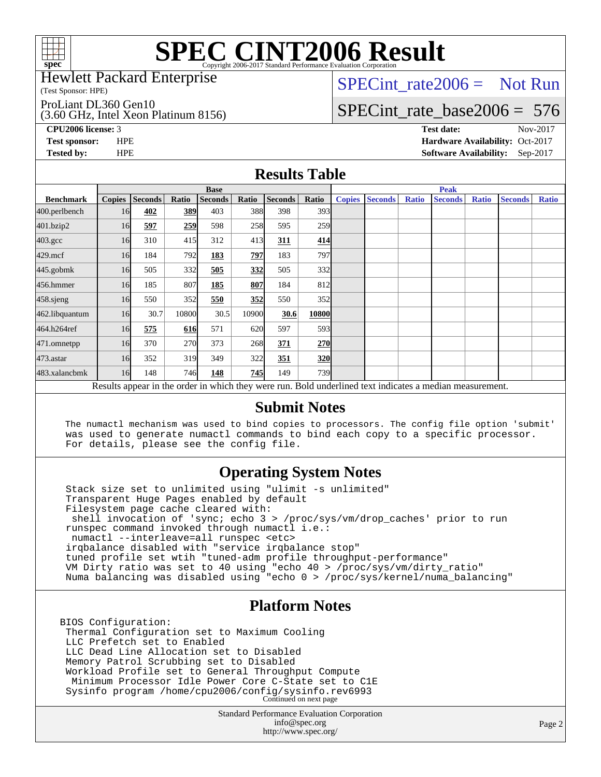

Hewlett Packard Enterprise

(Test Sponsor: HPE)

ProLiant DL360 Gen10

(3.60 GHz, Intel Xeon Platinum 8156)

[SPECint\\_rate2006 =](http://www.spec.org/auto/cpu2006/Docs/result-fields.html#SPECintrate2006) Not Run

## [SPECint\\_rate\\_base2006 =](http://www.spec.org/auto/cpu2006/Docs/result-fields.html#SPECintratebase2006) 576

**[CPU2006 license:](http://www.spec.org/auto/cpu2006/Docs/result-fields.html#CPU2006license)** 3 **[Test date:](http://www.spec.org/auto/cpu2006/Docs/result-fields.html#Testdate)** Nov-2017 **[Test sponsor:](http://www.spec.org/auto/cpu2006/Docs/result-fields.html#Testsponsor)** HPE **[Hardware Availability:](http://www.spec.org/auto/cpu2006/Docs/result-fields.html#HardwareAvailability)** Oct-2017 **[Tested by:](http://www.spec.org/auto/cpu2006/Docs/result-fields.html#Testedby)** HPE **[Software Availability:](http://www.spec.org/auto/cpu2006/Docs/result-fields.html#SoftwareAvailability)** Sep-2017

### **[Results Table](http://www.spec.org/auto/cpu2006/Docs/result-fields.html#ResultsTable)**

|                                                                                                          | <b>Base</b>   |                |       |                |       |                | <b>Peak</b>      |               |                |              |                |              |                |              |
|----------------------------------------------------------------------------------------------------------|---------------|----------------|-------|----------------|-------|----------------|------------------|---------------|----------------|--------------|----------------|--------------|----------------|--------------|
| <b>Benchmark</b>                                                                                         | <b>Copies</b> | <b>Seconds</b> | Ratio | <b>Seconds</b> | Ratio | <b>Seconds</b> | Ratio            | <b>Copies</b> | <b>Seconds</b> | <b>Ratio</b> | <b>Seconds</b> | <b>Ratio</b> | <b>Seconds</b> | <b>Ratio</b> |
| 400.perlbench                                                                                            | 16            | 402            | 389   | 403            | 388   | 398            | 3931             |               |                |              |                |              |                |              |
| 401.bzip2                                                                                                | 16            | 597            | 259   | 598            | 258   | 595            | <b>259</b>       |               |                |              |                |              |                |              |
| $403.\mathrm{gcc}$                                                                                       | 16            | 310            | 415   | 312            | 413   | 311            | 414              |               |                |              |                |              |                |              |
| $429$ .mcf                                                                                               | 16            | 184            | 792   | 183            | 797   | 183            | 797I             |               |                |              |                |              |                |              |
| $445$ .gobmk                                                                                             | 16            | 505            | 332   | 505            | 332   | 505            | 332l             |               |                |              |                |              |                |              |
| 456.hmmer                                                                                                | 16            | 185            | 807   | 185            | 807   | 184            | 812              |               |                |              |                |              |                |              |
| $458$ .sjeng                                                                                             | 16            | 550            | 352   | 550            | 352   | 550            | 352l             |               |                |              |                |              |                |              |
| 462.libquantum                                                                                           | 16            | 30.7           | 10800 | 30.5           | 10900 | 30.6           | 10800            |               |                |              |                |              |                |              |
| 464.h264ref                                                                                              | 16            | 575            | 616   | 571            | 620   | 597            | 593 <sub>l</sub> |               |                |              |                |              |                |              |
| 471.omnetpp                                                                                              | 16            | 370            | 270   | 373            | 268   | 371            | 270              |               |                |              |                |              |                |              |
| $473$ . astar                                                                                            | 16            | 352            | 319   | 349            | 322   | 351            | <u>320</u>       |               |                |              |                |              |                |              |
| 483.xalancbmk                                                                                            | 16            | 148            | 746   | 148            | 745   | 149            | <b>739</b>       |               |                |              |                |              |                |              |
| Results appear in the order in which they were run. Bold underlined text indicates a median measurement. |               |                |       |                |       |                |                  |               |                |              |                |              |                |              |

#### **[Submit Notes](http://www.spec.org/auto/cpu2006/Docs/result-fields.html#SubmitNotes)**

 The numactl mechanism was used to bind copies to processors. The config file option 'submit' was used to generate numactl commands to bind each copy to a specific processor. For details, please see the config file.

### **[Operating System Notes](http://www.spec.org/auto/cpu2006/Docs/result-fields.html#OperatingSystemNotes)**

 Stack size set to unlimited using "ulimit -s unlimited" Transparent Huge Pages enabled by default Filesystem page cache cleared with: shell invocation of 'sync; echo 3 > /proc/sys/vm/drop\_caches' prior to run runspec command invoked through numactl i.e.: numactl --interleave=all runspec <etc> irqbalance disabled with "service irqbalance stop" tuned profile set wtih "tuned-adm profile throughput-performance" VM Dirty ratio was set to 40 using "echo 40 > /proc/sys/vm/dirty\_ratio" Numa balancing was disabled using "echo 0 > /proc/sys/kernel/numa\_balancing"

### **[Platform Notes](http://www.spec.org/auto/cpu2006/Docs/result-fields.html#PlatformNotes)**

BIOS Configuration: Thermal Configuration set to Maximum Cooling LLC Prefetch set to Enabled LLC Dead Line Allocation set to Disabled Memory Patrol Scrubbing set to Disabled Workload Profile set to General Throughput Compute Minimum Processor Idle Power Core C-State set to C1E Sysinfo program /home/cpu2006/config/sysinfo.rev6993 Continued on next page

> Standard Performance Evaluation Corporation [info@spec.org](mailto:info@spec.org) <http://www.spec.org/>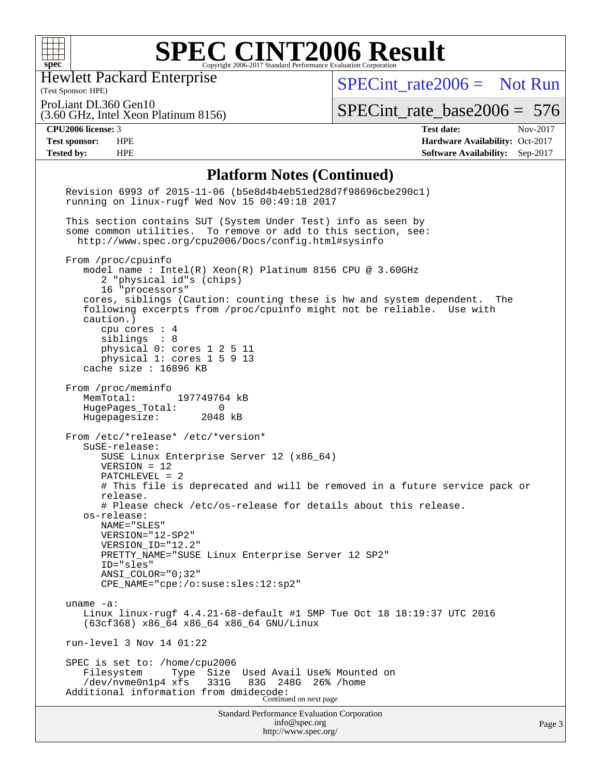

Hewlett Packard Enterprise

(Test Sponsor: HPE)

[SPECint\\_rate2006 =](http://www.spec.org/auto/cpu2006/Docs/result-fields.html#SPECintrate2006) Not Run

(3.60 GHz, Intel Xeon Platinum 8156) ProLiant DL360 Gen10

[SPECint\\_rate\\_base2006 =](http://www.spec.org/auto/cpu2006/Docs/result-fields.html#SPECintratebase2006) 576

**[CPU2006 license:](http://www.spec.org/auto/cpu2006/Docs/result-fields.html#CPU2006license)** 3 **[Test date:](http://www.spec.org/auto/cpu2006/Docs/result-fields.html#Testdate)** Nov-2017 **[Test sponsor:](http://www.spec.org/auto/cpu2006/Docs/result-fields.html#Testsponsor)** HPE **[Hardware Availability:](http://www.spec.org/auto/cpu2006/Docs/result-fields.html#HardwareAvailability)** Oct-2017 **[Tested by:](http://www.spec.org/auto/cpu2006/Docs/result-fields.html#Testedby)** HPE **[Software Availability:](http://www.spec.org/auto/cpu2006/Docs/result-fields.html#SoftwareAvailability)** Sep-2017

#### **[Platform Notes \(Continued\)](http://www.spec.org/auto/cpu2006/Docs/result-fields.html#PlatformNotes)**

<http://www.spec.org/>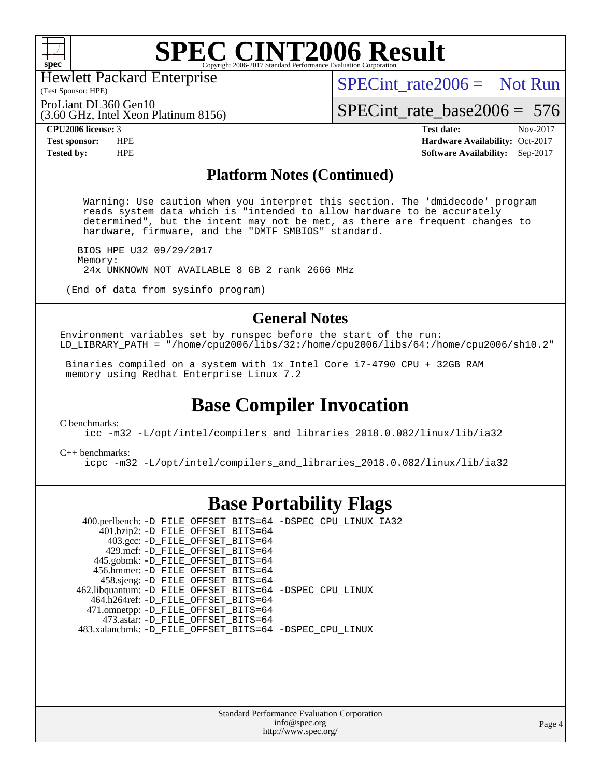

Hewlett Packard Enterprise

(Test Sponsor: HPE)

[SPECint\\_rate2006 =](http://www.spec.org/auto/cpu2006/Docs/result-fields.html#SPECintrate2006) Not Run

ProLiant DL360 Gen10

(3.60 GHz, Intel Xeon Platinum 8156)

[SPECint\\_rate\\_base2006 =](http://www.spec.org/auto/cpu2006/Docs/result-fields.html#SPECintratebase2006) 576

**[CPU2006 license:](http://www.spec.org/auto/cpu2006/Docs/result-fields.html#CPU2006license)** 3 **[Test date:](http://www.spec.org/auto/cpu2006/Docs/result-fields.html#Testdate)** Nov-2017 **[Test sponsor:](http://www.spec.org/auto/cpu2006/Docs/result-fields.html#Testsponsor)** HPE **[Hardware Availability:](http://www.spec.org/auto/cpu2006/Docs/result-fields.html#HardwareAvailability)** Oct-2017 **[Tested by:](http://www.spec.org/auto/cpu2006/Docs/result-fields.html#Testedby)** HPE **[Software Availability:](http://www.spec.org/auto/cpu2006/Docs/result-fields.html#SoftwareAvailability)** Sep-2017

#### **[Platform Notes \(Continued\)](http://www.spec.org/auto/cpu2006/Docs/result-fields.html#PlatformNotes)**

 Warning: Use caution when you interpret this section. The 'dmidecode' program reads system data which is "intended to allow hardware to be accurately determined", but the intent may not be met, as there are frequent changes to hardware, firmware, and the "DMTF SMBIOS" standard.

 BIOS HPE U32 09/29/2017 Memory: 24x UNKNOWN NOT AVAILABLE 8 GB 2 rank 2666 MHz

(End of data from sysinfo program)

### **[General Notes](http://www.spec.org/auto/cpu2006/Docs/result-fields.html#GeneralNotes)**

Environment variables set by runspec before the start of the run: LD\_LIBRARY\_PATH = "/home/cpu2006/libs/32:/home/cpu2006/libs/64:/home/cpu2006/sh10.2"

 Binaries compiled on a system with 1x Intel Core i7-4790 CPU + 32GB RAM memory using Redhat Enterprise Linux 7.2

### **[Base Compiler Invocation](http://www.spec.org/auto/cpu2006/Docs/result-fields.html#BaseCompilerInvocation)**

[C benchmarks](http://www.spec.org/auto/cpu2006/Docs/result-fields.html#Cbenchmarks):

[icc -m32 -L/opt/intel/compilers\\_and\\_libraries\\_2018.0.082/linux/lib/ia32](http://www.spec.org/cpu2006/results/res2017q4/cpu2006-20171128-50881.flags.html#user_CCbase_intel_icc_355c401af4d5dc87e09103a6bbcae1c6)

[C++ benchmarks:](http://www.spec.org/auto/cpu2006/Docs/result-fields.html#CXXbenchmarks) [icpc -m32 -L/opt/intel/compilers\\_and\\_libraries\\_2018.0.082/linux/lib/ia32](http://www.spec.org/cpu2006/results/res2017q4/cpu2006-20171128-50881.flags.html#user_CXXbase_intel_icpc_b34a6f497613b30bc6bf10051974f22f)

### **[Base Portability Flags](http://www.spec.org/auto/cpu2006/Docs/result-fields.html#BasePortabilityFlags)**

 400.perlbench: [-D\\_FILE\\_OFFSET\\_BITS=64](http://www.spec.org/cpu2006/results/res2017q4/cpu2006-20171128-50881.flags.html#user_basePORTABILITY400_perlbench_file_offset_bits_64_438cf9856305ebd76870a2c6dc2689ab) [-DSPEC\\_CPU\\_LINUX\\_IA32](http://www.spec.org/cpu2006/results/res2017q4/cpu2006-20171128-50881.flags.html#b400.perlbench_baseCPORTABILITY_DSPEC_CPU_LINUX_IA32)  $401.bzip2$ : [-D\\_FILE\\_OFFSET\\_BITS=64](http://www.spec.org/cpu2006/results/res2017q4/cpu2006-20171128-50881.flags.html#user_basePORTABILITY401_bzip2_file_offset_bits_64_438cf9856305ebd76870a2c6dc2689ab) 403.gcc: [-D\\_FILE\\_OFFSET\\_BITS=64](http://www.spec.org/cpu2006/results/res2017q4/cpu2006-20171128-50881.flags.html#user_basePORTABILITY403_gcc_file_offset_bits_64_438cf9856305ebd76870a2c6dc2689ab) 429.mcf: [-D\\_FILE\\_OFFSET\\_BITS=64](http://www.spec.org/cpu2006/results/res2017q4/cpu2006-20171128-50881.flags.html#user_basePORTABILITY429_mcf_file_offset_bits_64_438cf9856305ebd76870a2c6dc2689ab) 445.gobmk: [-D\\_FILE\\_OFFSET\\_BITS=64](http://www.spec.org/cpu2006/results/res2017q4/cpu2006-20171128-50881.flags.html#user_basePORTABILITY445_gobmk_file_offset_bits_64_438cf9856305ebd76870a2c6dc2689ab) 456.hmmer: [-D\\_FILE\\_OFFSET\\_BITS=64](http://www.spec.org/cpu2006/results/res2017q4/cpu2006-20171128-50881.flags.html#user_basePORTABILITY456_hmmer_file_offset_bits_64_438cf9856305ebd76870a2c6dc2689ab) 458.sjeng: [-D\\_FILE\\_OFFSET\\_BITS=64](http://www.spec.org/cpu2006/results/res2017q4/cpu2006-20171128-50881.flags.html#user_basePORTABILITY458_sjeng_file_offset_bits_64_438cf9856305ebd76870a2c6dc2689ab) 462.libquantum: [-D\\_FILE\\_OFFSET\\_BITS=64](http://www.spec.org/cpu2006/results/res2017q4/cpu2006-20171128-50881.flags.html#user_basePORTABILITY462_libquantum_file_offset_bits_64_438cf9856305ebd76870a2c6dc2689ab) [-DSPEC\\_CPU\\_LINUX](http://www.spec.org/cpu2006/results/res2017q4/cpu2006-20171128-50881.flags.html#b462.libquantum_baseCPORTABILITY_DSPEC_CPU_LINUX) 464.h264ref: [-D\\_FILE\\_OFFSET\\_BITS=64](http://www.spec.org/cpu2006/results/res2017q4/cpu2006-20171128-50881.flags.html#user_basePORTABILITY464_h264ref_file_offset_bits_64_438cf9856305ebd76870a2c6dc2689ab) 471.omnetpp: [-D\\_FILE\\_OFFSET\\_BITS=64](http://www.spec.org/cpu2006/results/res2017q4/cpu2006-20171128-50881.flags.html#user_basePORTABILITY471_omnetpp_file_offset_bits_64_438cf9856305ebd76870a2c6dc2689ab) 473.astar: [-D\\_FILE\\_OFFSET\\_BITS=64](http://www.spec.org/cpu2006/results/res2017q4/cpu2006-20171128-50881.flags.html#user_basePORTABILITY473_astar_file_offset_bits_64_438cf9856305ebd76870a2c6dc2689ab) 483.xalancbmk: [-D\\_FILE\\_OFFSET\\_BITS=64](http://www.spec.org/cpu2006/results/res2017q4/cpu2006-20171128-50881.flags.html#user_basePORTABILITY483_xalancbmk_file_offset_bits_64_438cf9856305ebd76870a2c6dc2689ab) [-DSPEC\\_CPU\\_LINUX](http://www.spec.org/cpu2006/results/res2017q4/cpu2006-20171128-50881.flags.html#b483.xalancbmk_baseCXXPORTABILITY_DSPEC_CPU_LINUX)

> Standard Performance Evaluation Corporation [info@spec.org](mailto:info@spec.org) <http://www.spec.org/>